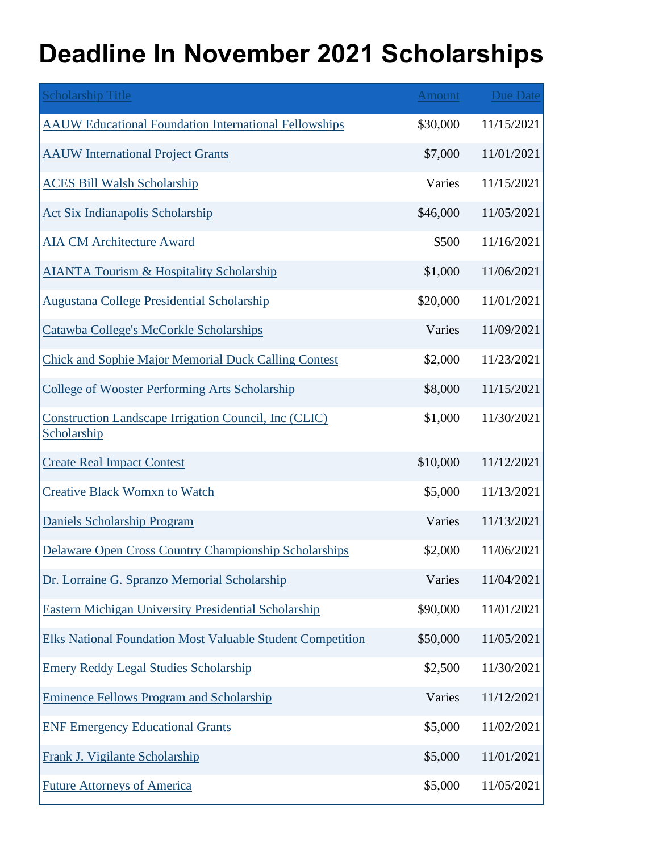## **Deadline In November 2021 Scholarships**

| <b>Scholarship Title</b>                                             | <b>Amount</b> | Due Date   |
|----------------------------------------------------------------------|---------------|------------|
| <b>AAUW Educational Foundation International Fellowships</b>         | \$30,000      | 11/15/2021 |
| <b>AAUW</b> International Project Grants                             | \$7,000       | 11/01/2021 |
| <b>ACES Bill Walsh Scholarship</b>                                   | Varies        | 11/15/2021 |
| Act Six Indianapolis Scholarship                                     | \$46,000      | 11/05/2021 |
| <b>AIA CM Architecture Award</b>                                     | \$500         | 11/16/2021 |
| <b>AIANTA Tourism &amp; Hospitality Scholarship</b>                  | \$1,000       | 11/06/2021 |
| <b>Augustana College Presidential Scholarship</b>                    | \$20,000      | 11/01/2021 |
| Catawba College's McCorkle Scholarships                              | Varies        | 11/09/2021 |
| <b>Chick and Sophie Major Memorial Duck Calling Contest</b>          | \$2,000       | 11/23/2021 |
| <b>College of Wooster Performing Arts Scholarship</b>                | \$8,000       | 11/15/2021 |
| Construction Landscape Irrigation Council, Inc (CLIC)<br>Scholarship | \$1,000       | 11/30/2021 |
| <b>Create Real Impact Contest</b>                                    | \$10,000      | 11/12/2021 |
| <b>Creative Black Womxn to Watch</b>                                 | \$5,000       | 11/13/2021 |
| <b>Daniels Scholarship Program</b>                                   | Varies        | 11/13/2021 |
| <b>Delaware Open Cross Country Championship Scholarships</b>         | \$2,000       | 11/06/2021 |
| Dr. Lorraine G. Spranzo Memorial Scholarship                         | Varies        | 11/04/2021 |
| <b>Eastern Michigan University Presidential Scholarship</b>          | \$90,000      | 11/01/2021 |
| <b>Elks National Foundation Most Valuable Student Competition</b>    | \$50,000      | 11/05/2021 |
| <b>Emery Reddy Legal Studies Scholarship</b>                         | \$2,500       | 11/30/2021 |
| <b>Eminence Fellows Program and Scholarship</b>                      | Varies        | 11/12/2021 |
| <b>ENF Emergency Educational Grants</b>                              | \$5,000       | 11/02/2021 |
| Frank J. Vigilante Scholarship                                       | \$5,000       | 11/01/2021 |
| <b>Future Attorneys of America</b>                                   | \$5,000       | 11/05/2021 |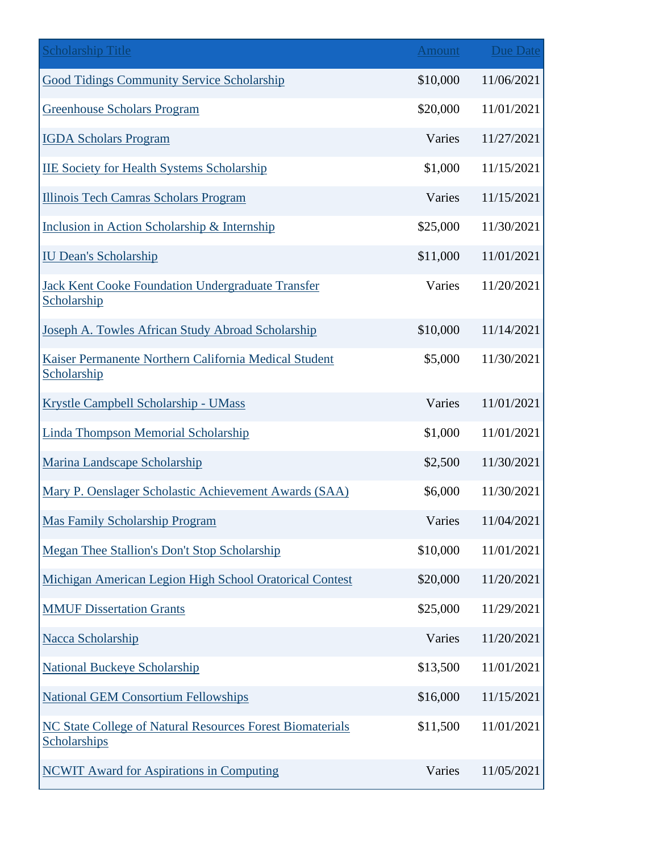| <b>Scholarship Title</b>                                                  | <b>Amount</b> | Due Date   |
|---------------------------------------------------------------------------|---------------|------------|
| <b>Good Tidings Community Service Scholarship</b>                         | \$10,000      | 11/06/2021 |
| <b>Greenhouse Scholars Program</b>                                        | \$20,000      | 11/01/2021 |
| <b>IGDA Scholars Program</b>                                              | Varies        | 11/27/2021 |
| <b>IIE Society for Health Systems Scholarship</b>                         | \$1,000       | 11/15/2021 |
| <b>Illinois Tech Camras Scholars Program</b>                              | Varies        | 11/15/2021 |
| Inclusion in Action Scholarship & Internship                              | \$25,000      | 11/30/2021 |
| <b>IU Dean's Scholarship</b>                                              | \$11,000      | 11/01/2021 |
| Jack Kent Cooke Foundation Undergraduate Transfer<br>Scholarship          | Varies        | 11/20/2021 |
| Joseph A. Towles African Study Abroad Scholarship                         | \$10,000      | 11/14/2021 |
| Kaiser Permanente Northern California Medical Student<br>Scholarship      | \$5,000       | 11/30/2021 |
| Krystle Campbell Scholarship - UMass                                      | Varies        | 11/01/2021 |
| <b>Linda Thompson Memorial Scholarship</b>                                | \$1,000       | 11/01/2021 |
| Marina Landscape Scholarship                                              | \$2,500       | 11/30/2021 |
| Mary P. Oenslager Scholastic Achievement Awards (SAA)                     | \$6,000       | 11/30/2021 |
| <b>Mas Family Scholarship Program</b>                                     | Varies        | 11/04/2021 |
| Megan Thee Stallion's Don't Stop Scholarship                              | \$10,000      | 11/01/2021 |
| Michigan American Legion High School Oratorical Contest                   | \$20,000      | 11/20/2021 |
| <b>MMUF Dissertation Grants</b>                                           | \$25,000      | 11/29/2021 |
| Nacca Scholarship                                                         | Varies        | 11/20/2021 |
| <b>National Buckeye Scholarship</b>                                       | \$13,500      | 11/01/2021 |
| <b>National GEM Consortium Fellowships</b>                                | \$16,000      | 11/15/2021 |
| NC State College of Natural Resources Forest Biomaterials<br>Scholarships | \$11,500      | 11/01/2021 |
| <b>NCWIT Award for Aspirations in Computing</b>                           | Varies        | 11/05/2021 |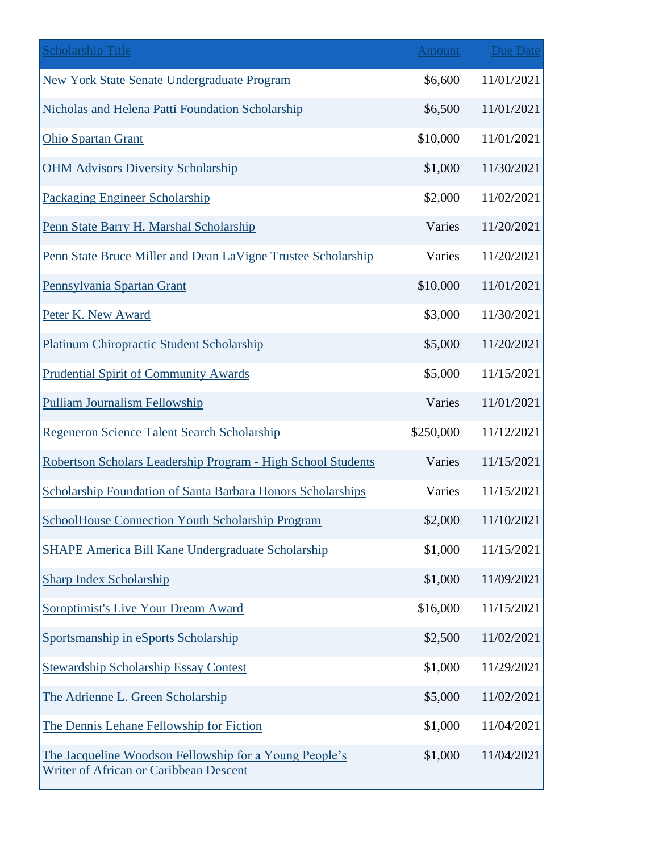| <b>Scholarship Title</b>                                                                         | <b>Amount</b> | <b>Due Date</b> |
|--------------------------------------------------------------------------------------------------|---------------|-----------------|
| <b>New York State Senate Undergraduate Program</b>                                               | \$6,600       | 11/01/2021      |
| Nicholas and Helena Patti Foundation Scholarship                                                 | \$6,500       | 11/01/2021      |
| <b>Ohio Spartan Grant</b>                                                                        | \$10,000      | 11/01/2021      |
| <b>OHM Advisors Diversity Scholarship</b>                                                        | \$1,000       | 11/30/2021      |
| <b>Packaging Engineer Scholarship</b>                                                            | \$2,000       | 11/02/2021      |
| Penn State Barry H. Marshal Scholarship                                                          | Varies        | 11/20/2021      |
| Penn State Bruce Miller and Dean LaVigne Trustee Scholarship                                     | Varies        | 11/20/2021      |
| Pennsylvania Spartan Grant                                                                       | \$10,000      | 11/01/2021      |
| Peter K. New Award                                                                               | \$3,000       | 11/30/2021      |
| <b>Platinum Chiropractic Student Scholarship</b>                                                 | \$5,000       | 11/20/2021      |
| <b>Prudential Spirit of Community Awards</b>                                                     | \$5,000       | 11/15/2021      |
| <b>Pulliam Journalism Fellowship</b>                                                             | Varies        | 11/01/2021      |
| Regeneron Science Talent Search Scholarship                                                      | \$250,000     | 11/12/2021      |
| Robertson Scholars Leadership Program - High School Students                                     | Varies        | 11/15/2021      |
| Scholarship Foundation of Santa Barbara Honors Scholarships                                      | Varies        | 11/15/2021      |
| <b>SchoolHouse Connection Youth Scholarship Program</b>                                          | \$2,000       | 11/10/2021      |
| <b>SHAPE America Bill Kane Undergraduate Scholarship</b>                                         | \$1,000       | 11/15/2021      |
| <b>Sharp Index Scholarship</b>                                                                   | \$1,000       | 11/09/2021      |
| Soroptimist's Live Your Dream Award                                                              | \$16,000      | 11/15/2021      |
| Sportsmanship in eSports Scholarship                                                             | \$2,500       | 11/02/2021      |
| <b>Stewardship Scholarship Essay Contest</b>                                                     | \$1,000       | 11/29/2021      |
| The Adrienne L. Green Scholarship                                                                | \$5,000       | 11/02/2021      |
| The Dennis Lehane Fellowship for Fiction                                                         | \$1,000       | 11/04/2021      |
| The Jacqueline Woodson Fellowship for a Young People's<br>Writer of African or Caribbean Descent | \$1,000       | 11/04/2021      |